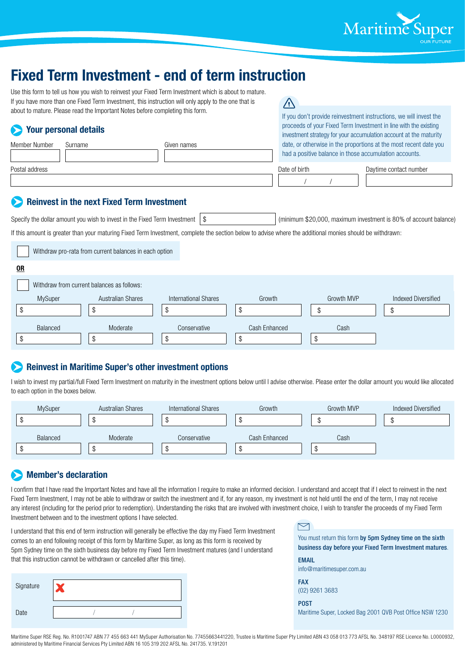

# **Fixed Term Investment - end of term instruction**

| Use this form to tell us how you wish to reinvest your Fixed Term Investment which is about to mature. |
|--------------------------------------------------------------------------------------------------------|
| If you have more than one Fixed Term Investment, this instruction will only apply to the one that is   |
| about to mature. Please read the Important Notes before completing this form.                          |

## **Your personal details**

| TUM: NUTUUTIMI MULATIU |         |             |               | investment strategy for your accumulation account at the maturity                                                           |  |  |
|------------------------|---------|-------------|---------------|-----------------------------------------------------------------------------------------------------------------------------|--|--|
| Member Number          | Surname | Given names |               | date, or otherwise in the proportions at the most recent date you<br>had a positive balance in those accumulation accounts. |  |  |
| Postal address         |         |             | Date of birth | Daytime contact number                                                                                                      |  |  |
|                        |         |             |               |                                                                                                                             |  |  |

/i/

## **Reinvest in the next Fixed Term Investment**

Specify the dollar amount you wish to invest in the Fixed Term Investment \ \$ (minimum \$20,000, maximum investment is 80% of account balance)

If you don't provide reinvestment instructions, we will invest the proceeds of your Fixed Term Investment in line with the existing

If this amount is greater than your maturing Fixed Term Investment, complete the section below to advise where the additional monies should be withdrawn:

|           | Withdraw pro-rata from current balances in each option |                             |               |            |                            |
|-----------|--------------------------------------------------------|-----------------------------|---------------|------------|----------------------------|
| <u>OR</u> |                                                        |                             |               |            |                            |
|           | Withdraw from current balances as follows:             |                             |               |            |                            |
| MySuper   | <b>Australian Shares</b>                               | <b>International Shares</b> | Growth        | Growth MVP | <b>Indexed Diversified</b> |
|           | S                                                      | ٨I                          | œ<br>Φ        |            | ა                          |
| Balanced  | Moderate                                               | Conservative                | Cash Enhanced | Cash       |                            |
|           |                                                        |                             | мI            |            |                            |

# **Reinvest in Maritime Super's other investment options**

I wish to invest my partial/full Fixed Term Investment on maturity in the investment options below until I advise otherwise. Please enter the dollar amount you would like allocated to each option in the boxes below.

| MySuper  | <b>Australian Shares</b> | International Shares | Growth        | Growth MVP | Indexed Diversified |
|----------|--------------------------|----------------------|---------------|------------|---------------------|
|          |                          |                      |               |            |                     |
| Balanced | Moderate                 | Conservative         | Cash Enhanced | Cash       |                     |

# **Member's declaration**

I confirm that I have read the Important Notes and have all the information I require to make an informed decision. I understand and accept that if I elect to reinvest in the next Fixed Term Investment, I may not be able to withdraw or switch the investment and if, for any reason, my investment is not held until the end of the term, I may not receive any interest (including for the period prior to redemption). Understanding the risks that are involved with investment choice, I wish to transfer the proceeds of my Fixed Term Investment between and to the investment options I have selected.

I understand that this end of term instruction will generally be effective the day my Fixed Term Investment comes to an end following receipt of this form by Maritime Super, as long as this form is received by 5pm Sydney time on the sixth business day before my Fixed Term Investment matures (and I understand that this instruction cannot be withdrawn or cancelled after this time).

| Signature |  |  |
|-----------|--|--|
| Date      |  |  |

## $\triangleright$

You must return this form by 5pm Sydney time on the sixth business day before your Fixed Term Investment matures.

EMAIL info@maritimesuper.com.au

FAX (02) 9261 3683

POST Maritime Super, Locked Bag 2001 QVB Post Office NSW 1230

Maritime Super RSE Reg. No. R1001747 ABN 77 455 663 441 MySuper Authorisation No. 77455663441220, Trustee is Maritime Super Pty Limited ABN 43 058 013 773 AFSL No. 348197 RSE Licence No. L0000932, administered by Maritime Financial Services Pty Limited ABN 16 105 319 202 AFSL No. 241735. V.191201